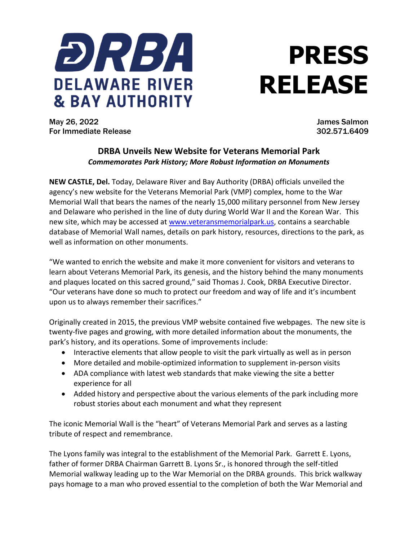

## **PRESS RELEASE**

May 26, 2022 James Salmon For Immediate Release 302.571.6409

## **DRBA Unveils New Website for Veterans Memorial Park** *Commemorates Park History; More Robust Information on Monuments*

**NEW CASTLE, Del.** Today, Delaware River and Bay Authority (DRBA) officials unveiled the agency's new website for the Veterans Memorial Park (VMP) complex, home to the War Memorial Wall that bears the names of the nearly 15,000 military personnel from New Jersey and Delaware who perished in the line of duty during World War II and the Korean War. This new site, which may be accessed at [www.veteransmemorialpark.us,](http://www.veteransmemorialpark.us/) contains a searchable database of Memorial Wall names, details on park history, resources, directions to the park, as well as information on other monuments.

"We wanted to enrich the website and make it more convenient for visitors and veterans to learn about Veterans Memorial Park, its genesis, and the history behind the many monuments and plaques located on this sacred ground," said Thomas J. Cook, DRBA Executive Director. "Our veterans have done so much to protect our freedom and way of life and it's incumbent upon us to always remember their sacrifices."

Originally created in 2015, the previous VMP website contained five webpages. The new site is twenty-five pages and growing, with more detailed information about the monuments, the park's history, and its operations. Some of improvements include:

- Interactive elements that allow people to visit the park virtually as well as in person
- More detailed and mobile-optimized information to supplement in-person visits
- ADA compliance with latest web standards that make viewing the site a better experience for all
- Added history and perspective about the various elements of the park including more robust stories about each monument and what they represent

The iconic Memorial Wall is the "heart" of Veterans Memorial Park and serves as a lasting tribute of respect and remembrance.

The Lyons family was integral to the establishment of the Memorial Park. Garrett E. Lyons, father of former DRBA Chairman Garrett B. Lyons Sr., is honored through the self-titled Memorial walkway leading up to the War Memorial on the DRBA grounds. This brick walkway pays homage to a man who proved essential to the completion of both the War Memorial and